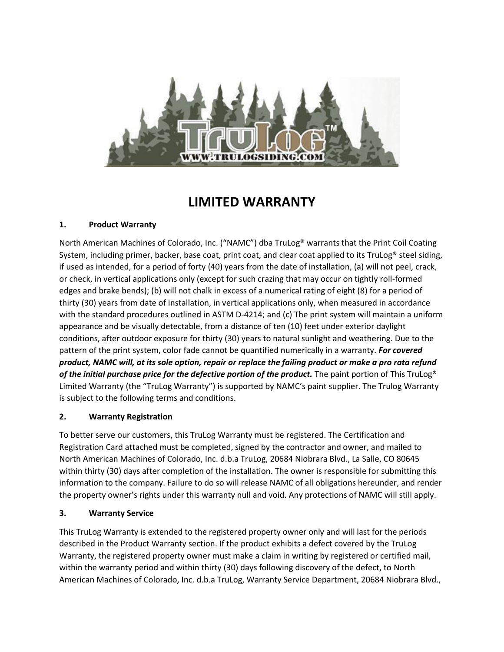

# **LIMITED WARRANTY**

### **1. Product Warranty**

North American Machines of Colorado, Inc. ("NAMC") dba TruLog® warrants that the Print Coil Coating System, including primer, backer, base coat, print coat, and clear coat applied to its TruLog® steel siding, if used as intended, for a period of forty (40) years from the date of installation, (a) will not peel, crack, or check, in vertical applications only (except for such crazing that may occur on tightly roll-formed edges and brake bends); (b) will not chalk in excess of a numerical rating of eight (8) for a period of thirty (30) years from date of installation, in vertical applications only, when measured in accordance with the standard procedures outlined in ASTM D-4214; and (c) The print system will maintain a uniform appearance and be visually detectable, from a distance of ten (10) feet under exterior daylight conditions, after outdoor exposure for thirty (30) years to natural sunlight and weathering. Due to the pattern of the print system, color fade cannot be quantified numerically in a warranty. *For covered product, NAMC will, at its sole option, repair or replace the failing product or make a pro rata refund of the initial purchase price for the defective portion of the product.* The paint portion of This TruLog® Limited Warranty (the "TruLog Warranty") is supported by NAMC's paint supplier. The Trulog Warranty is subject to the following terms and conditions.

### **2. Warranty Registration**

To better serve our customers, this TruLog Warranty must be registered. The Certification and Registration Card attached must be completed, signed by the contractor and owner, and mailed to North American Machines of Colorado, Inc. d.b.a TruLog, 20684 Niobrara Blvd., La Salle, CO 80645 within thirty (30) days after completion of the installation. The owner is responsible for submitting this information to the company. Failure to do so will release NAMC of all obligations hereunder, and render the property owner's rights under this warranty null and void. Any protections of NAMC will still apply.

### **3. Warranty Service**

This TruLog Warranty is extended to the registered property owner only and will last for the periods described in the Product Warranty section. If the product exhibits a defect covered by the TruLog Warranty, the registered property owner must make a claim in writing by registered or certified mail, within the warranty period and within thirty (30) days following discovery of the defect, to North American Machines of Colorado, Inc. d.b.a TruLog, Warranty Service Department, 20684 Niobrara Blvd.,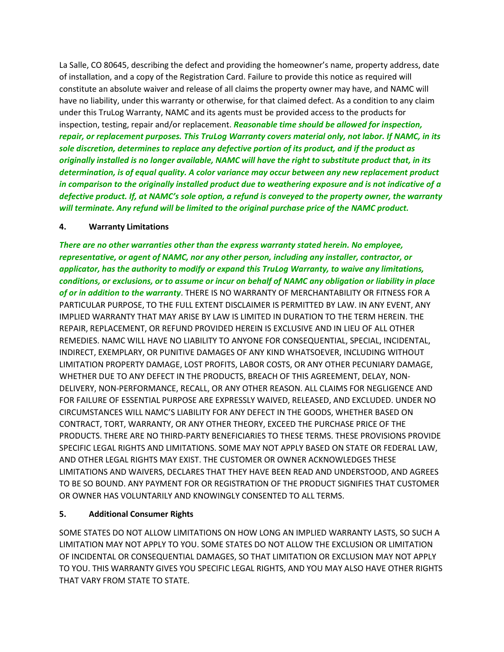La Salle, CO 80645, describing the defect and providing the homeowner's name, property address, date of installation, and a copy of the Registration Card. Failure to provide this notice as required will constitute an absolute waiver and release of all claims the property owner may have, and NAMC will have no liability, under this warranty or otherwise, for that claimed defect. As a condition to any claim under this TruLog Warranty, NAMC and its agents must be provided access to the products for inspection, testing, repair and/or replacement. *Reasonable time should be allowed for inspection, repair, or replacement purposes. This TruLog Warranty covers material only, not labor. If NAMC, in its sole discretion, determines to replace any defective portion of its product, and if the product as originally installed is no longer available, NAMC will have the right to substitute product that, in its determination, is of equal quality. A color variance may occur between any new replacement product in comparison to the originally installed product due to weathering exposure and is not indicative of a defective product. If, at NAMC's sole option, a refund is conveyed to the property owner, the warranty will terminate. Any refund will be limited to the original purchase price of the NAMC product.*

#### **4. Warranty Limitations**

*There are no other warranties other than the express warranty stated herein. No employee, representative, or agent of NAMC, nor any other person, including any installer, contractor, or applicator, has the authority to modify or expand this TruLog Warranty, to waive any limitations, conditions, or exclusions, or to assume or incur on behalf of NAMC any obligation or liability in place of or in addition to the warranty*. THERE IS NO WARRANTY OF MERCHANTABILITY OR FITNESS FOR A PARTICULAR PURPOSE, TO THE FULL EXTENT DISCLAIMER IS PERMITTED BY LAW. IN ANY EVENT, ANY IMPLIED WARRANTY THAT MAY ARISE BY LAW IS LIMITED IN DURATION TO THE TERM HEREIN. THE REPAIR, REPLACEMENT, OR REFUND PROVIDED HEREIN IS EXCLUSIVE AND IN LIEU OF ALL OTHER REMEDIES. NAMC WILL HAVE NO LIABILITY TO ANYONE FOR CONSEQUENTIAL, SPECIAL, INCIDENTAL, INDIRECT, EXEMPLARY, OR PUNITIVE DAMAGES OF ANY KIND WHATSOEVER, INCLUDING WITHOUT LIMITATION PROPERTY DAMAGE, LOST PROFITS, LABOR COSTS, OR ANY OTHER PECUNIARY DAMAGE, WHETHER DUE TO ANY DEFECT IN THE PRODUCTS, BREACH OF THIS AGREEMENT, DELAY, NON-DELIVERY, NON-PERFORMANCE, RECALL, OR ANY OTHER REASON. ALL CLAIMS FOR NEGLIGENCE AND FOR FAILURE OF ESSENTIAL PURPOSE ARE EXPRESSLY WAIVED, RELEASED, AND EXCLUDED. UNDER NO CIRCUMSTANCES WILL NAMC'S LIABILITY FOR ANY DEFECT IN THE GOODS, WHETHER BASED ON CONTRACT, TORT, WARRANTY, OR ANY OTHER THEORY, EXCEED THE PURCHASE PRICE OF THE PRODUCTS. THERE ARE NO THIRD-PARTY BENEFICIARIES TO THESE TERMS. THESE PROVISIONS PROVIDE SPECIFIC LEGAL RIGHTS AND LIMITATIONS. SOME MAY NOT APPLY BASED ON STATE OR FEDERAL LAW, AND OTHER LEGAL RIGHTS MAY EXIST. THE CUSTOMER OR OWNER ACKNOWLEDGES THESE LIMITATIONS AND WAIVERS, DECLARES THAT THEY HAVE BEEN READ AND UNDERSTOOD, AND AGREES TO BE SO BOUND. ANY PAYMENT FOR OR REGISTRATION OF THE PRODUCT SIGNIFIES THAT CUSTOMER OR OWNER HAS VOLUNTARILY AND KNOWINGLY CONSENTED TO ALL TERMS.

### **5. Additional Consumer Rights**

SOME STATES DO NOT ALLOW LIMITATIONS ON HOW LONG AN IMPLIED WARRANTY LASTS, SO SUCH A LIMITATION MAY NOT APPLY TO YOU. SOME STATES DO NOT ALLOW THE EXCLUSION OR LIMITATION OF INCIDENTAL OR CONSEQUENTIAL DAMAGES, SO THAT LIMITATION OR EXCLUSION MAY NOT APPLY TO YOU. THIS WARRANTY GIVES YOU SPECIFIC LEGAL RIGHTS, AND YOU MAY ALSO HAVE OTHER RIGHTS THAT VARY FROM STATE TO STATE.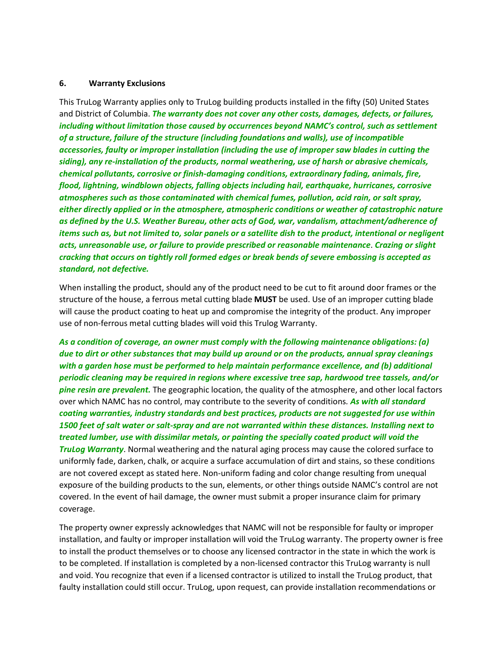#### **6. Warranty Exclusions**

This TruLog Warranty applies only to TruLog building products installed in the fifty (50) United States and District of Columbia. *The warranty does not cover any other costs, damages, defects, or failures, including without limitation those caused by occurrences beyond NAMC's control, such as settlement of a structure, failure of the structure (including foundations and walls), use of incompatible accessories, faulty or improper installation (including the use of improper saw blades in cutting the siding), any re-installation of the products, normal weathering, use of harsh or abrasive chemicals, chemical pollutants, corrosive or finish-damaging conditions, extraordinary fading, animals, fire, flood, lightning, windblown objects, falling objects including hail, earthquake, hurricanes, corrosive atmospheres such as those contaminated with chemical fumes, pollution, acid rain, or salt spray, either directly applied or in the atmosphere, atmospheric conditions or weather of catastrophic nature as defined by the U.S. Weather Bureau, other acts of God, war, vandalism, attachment/adherence of items such as, but not limited to, solar panels or a satellite dish to the product, intentional or negligent acts, unreasonable use, or failure to provide prescribed or reasonable maintenance*. *Crazing or slight cracking that occurs on tightly roll formed edges or break bends of severe embossing is accepted as standard, not defective.*

When installing the product, should any of the product need to be cut to fit around door frames or the structure of the house, a ferrous metal cutting blade **MUST** be used. Use of an improper cutting blade will cause the product coating to heat up and compromise the integrity of the product. Any improper use of non-ferrous metal cutting blades will void this Trulog Warranty.

*As a condition of coverage, an owner must comply with the following maintenance obligations: (a) due to dirt or other substances that may build up around or on the products, annual spray cleanings with a garden hose must be performed to help maintain performance excellence, and (b) additional periodic cleaning may be required in regions where excessive tree sap, hardwood tree tassels, and/or pine resin are prevalent.* The geographic location, the quality of the atmosphere, and other local factors over which NAMC has no control, may contribute to the severity of conditions*. As with all standard coating warranties, industry standards and best practices, products are not suggested for use within 1500 feet of salt water or salt-spray and are not warranted within these distances. Installing next to treated lumber, use with dissimilar metals, or painting the specially coated product will void the TruLog Warranty*. Normal weathering and the natural aging process may cause the colored surface to uniformly fade, darken, chalk, or acquire a surface accumulation of dirt and stains, so these conditions are not covered except as stated here. Non-uniform fading and color change resulting from unequal exposure of the building products to the sun, elements, or other things outside NAMC's control are not covered. In the event of hail damage, the owner must submit a proper insurance claim for primary coverage.

The property owner expressly acknowledges that NAMC will not be responsible for faulty or improper installation, and faulty or improper installation will void the TruLog warranty. The property owner is free to install the product themselves or to choose any licensed contractor in the state in which the work is to be completed. If installation is completed by a non-licensed contractor this TruLog warranty is null and void. You recognize that even if a licensed contractor is utilized to install the TruLog product, that faulty installation could still occur. TruLog, upon request, can provide installation recommendations or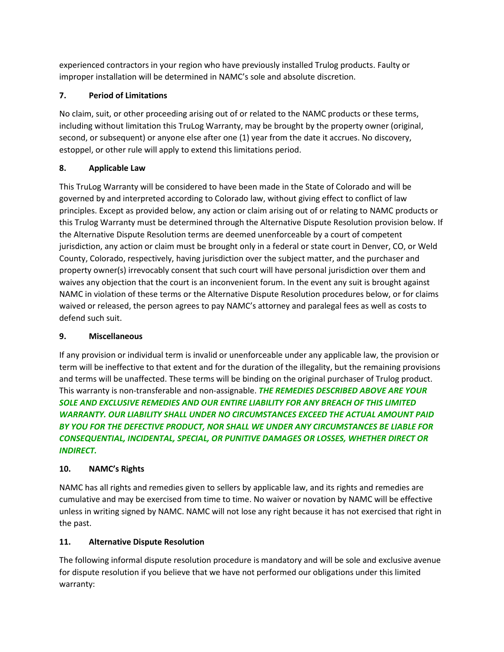experienced contractors in your region who have previously installed Trulog products. Faulty or improper installation will be determined in NAMC's sole and absolute discretion.

## **7. Period of Limitations**

No claim, suit, or other proceeding arising out of or related to the NAMC products or these terms, including without limitation this TruLog Warranty, may be brought by the property owner (original, second, or subsequent) or anyone else after one (1) year from the date it accrues. No discovery, estoppel, or other rule will apply to extend this limitations period.

## **8. Applicable Law**

This TruLog Warranty will be considered to have been made in the State of Colorado and will be governed by and interpreted according to Colorado law, without giving effect to conflict of law principles. Except as provided below, any action or claim arising out of or relating to NAMC products or this Trulog Warranty must be determined through the Alternative Dispute Resolution provision below. If the Alternative Dispute Resolution terms are deemed unenforceable by a court of competent jurisdiction, any action or claim must be brought only in a federal or state court in Denver, CO, or Weld County, Colorado, respectively, having jurisdiction over the subject matter, and the purchaser and property owner(s) irrevocably consent that such court will have personal jurisdiction over them and waives any objection that the court is an inconvenient forum. In the event any suit is brought against NAMC in violation of these terms or the Alternative Dispute Resolution procedures below, or for claims waived or released, the person agrees to pay NAMC's attorney and paralegal fees as well as costs to defend such suit.

### **9. Miscellaneous**

If any provision or individual term is invalid or unenforceable under any applicable law, the provision or term will be ineffective to that extent and for the duration of the illegality, but the remaining provisions and terms will be unaffected. These terms will be binding on the original purchaser of Trulog product. This warranty is non-transferable and non-assignable. *THE REMEDIES DESCRIBED ABOVE ARE YOUR*  **SOLE AND EXCLUSIVE REMEDIES AND OUR ENTIRE LIABILITY FOR ANY BREACH OF THIS LIMITED** *WARRANTY. OUR LIABILITY SHALL UNDER NO CIRCUMSTANCES EXCEED THE ACTUAL AMOUNT PAID BY YOU FOR THE DEFECTIVE PRODUCT, NOR SHALL WE UNDER ANY CIRCUMSTANCES BE LIABLE FOR CONSEQUENTIAL, INCIDENTAL, SPECIAL, OR PUNITIVE DAMAGES OR LOSSES, WHETHER DIRECT OR INDIRECT.*

# **10. NAMC's Rights**

NAMC has all rights and remedies given to sellers by applicable law, and its rights and remedies are cumulative and may be exercised from time to time. No waiver or novation by NAMC will be effective unless in writing signed by NAMC. NAMC will not lose any right because it has not exercised that right in the past.

# **11. Alternative Dispute Resolution**

The following informal dispute resolution procedure is mandatory and will be sole and exclusive avenue for dispute resolution if you believe that we have not performed our obligations under this limited warranty: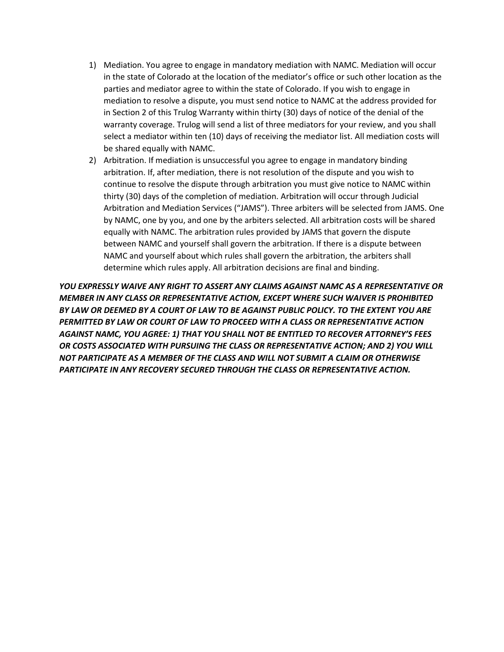- 1) Mediation. You agree to engage in mandatory mediation with NAMC. Mediation will occur in the state of Colorado at the location of the mediator's office or such other location as the parties and mediator agree to within the state of Colorado. If you wish to engage in mediation to resolve a dispute, you must send notice to NAMC at the address provided for in Section 2 of this Trulog Warranty within thirty (30) days of notice of the denial of the warranty coverage. Trulog will send a list of three mediators for your review, and you shall select a mediator within ten (10) days of receiving the mediator list. All mediation costs will be shared equally with NAMC.
- 2) Arbitration. If mediation is unsuccessful you agree to engage in mandatory binding arbitration. If, after mediation, there is not resolution of the dispute and you wish to continue to resolve the dispute through arbitration you must give notice to NAMC within thirty (30) days of the completion of mediation. Arbitration will occur through Judicial Arbitration and Mediation Services ("JAMS"). Three arbiters will be selected from JAMS. One by NAMC, one by you, and one by the arbiters selected. All arbitration costs will be shared equally with NAMC. The arbitration rules provided by JAMS that govern the dispute between NAMC and yourself shall govern the arbitration. If there is a dispute between NAMC and yourself about which rules shall govern the arbitration, the arbiters shall determine which rules apply. All arbitration decisions are final and binding.

*YOU EXPRESSLY WAIVE ANY RIGHT TO ASSERT ANY CLAIMS AGAINST NAMC AS A REPRESENTATIVE OR MEMBER IN ANY CLASS OR REPRESENTATIVE ACTION, EXCEPT WHERE SUCH WAIVER IS PROHIBITED BY LAW OR DEEMED BY A COURT OF LAW TO BE AGAINST PUBLIC POLICY. TO THE EXTENT YOU ARE PERMITTED BY LAW OR COURT OF LAW TO PROCEED WITH A CLASS OR REPRESENTATIVE ACTION AGAINST NAMC, YOU AGREE: 1) THAT YOU SHALL NOT BE ENTITLED TO RECOVER ATTORNEY'S FEES OR COSTS ASSOCIATED WITH PURSUING THE CLASS OR REPRESENTATIVE ACTION; AND 2) YOU WILL NOT PARTICIPATE AS A MEMBER OF THE CLASS AND WILL NOT SUBMIT A CLAIM OR OTHERWISE PARTICIPATE IN ANY RECOVERY SECURED THROUGH THE CLASS OR REPRESENTATIVE ACTION.*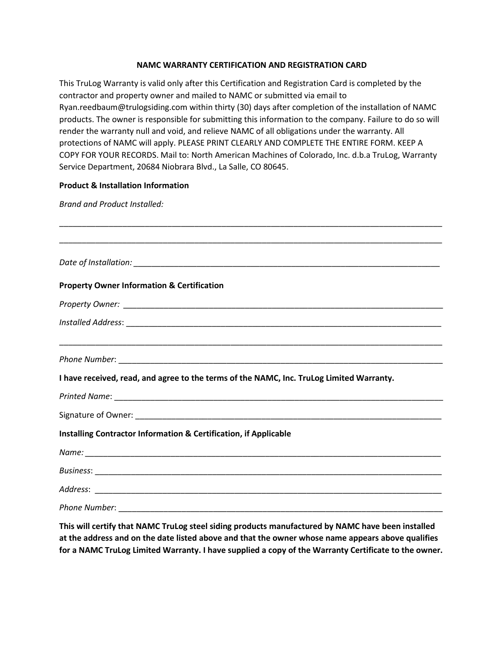#### **NAMC WARRANTY CERTIFICATION AND REGISTRATION CARD**

This TruLog Warranty is valid only after this Certification and Registration Card is completed by the contractor and property owner and mailed to NAMC or submitted via email to Ryan.reedbaum@trulogsiding.com within thirty (30) days after completion of the installation of NAMC products. The owner is responsible for submitting this information to the company. Failure to do so will render the warranty null and void, and relieve NAMC of all obligations under the warranty. All protections of NAMC will apply. PLEASE PRINT CLEARLY AND COMPLETE THE ENTIRE FORM. KEEP A COPY FOR YOUR RECORDS. Mail to: North American Machines of Colorado, Inc. d.b.a TruLog, Warranty Service Department, 20684 Niobrara Blvd., La Salle, CO 80645.

#### **Product & Installation Information**

*Brand and Product Installed:*

| <b>Property Owner Information &amp; Certification</b>                                    |
|------------------------------------------------------------------------------------------|
|                                                                                          |
|                                                                                          |
|                                                                                          |
|                                                                                          |
| I have received, read, and agree to the terms of the NAMC, Inc. TruLog Limited Warranty. |
|                                                                                          |
|                                                                                          |
| Installing Contractor Information & Certification, if Applicable                         |
|                                                                                          |
|                                                                                          |
|                                                                                          |
|                                                                                          |

**This will certify that NAMC TruLog steel siding products manufactured by NAMC have been installed at the address and on the date listed above and that the owner whose name appears above qualifies for a NAMC TruLog Limited Warranty. I have supplied a copy of the Warranty Certificate to the owner.**